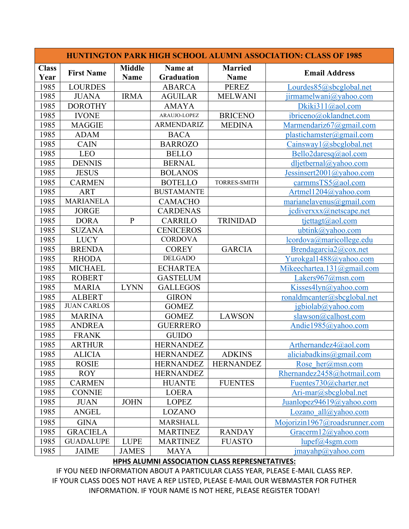| <b>HUNTINGTON PARK HIGH SCHOOL ALUMNI ASSOCIATION: CLASS OF 1985</b> |                    |                              |                       |                               |                                               |  |  |  |
|----------------------------------------------------------------------|--------------------|------------------------------|-----------------------|-------------------------------|-----------------------------------------------|--|--|--|
| <b>Class</b><br>Year                                                 | <b>First Name</b>  | <b>Middle</b><br><b>Name</b> | Name at<br>Graduation | <b>Married</b><br><b>Name</b> | <b>Email Address</b>                          |  |  |  |
| 1985                                                                 | <b>LOURDES</b>     |                              | <b>ABARCA</b>         | <b>PEREZ</b>                  | Lourdes85@sbcglobal.net                       |  |  |  |
| 1985                                                                 | <b>JUANA</b>       | <b>IRMA</b>                  | <b>AGUILAR</b>        | <b>MELWANI</b>                | jirmamelwani@yahoo.com                        |  |  |  |
| 1985                                                                 | <b>DOROTHY</b>     |                              | <b>AMAYA</b>          |                               | Dkiki311@aol.com                              |  |  |  |
| 1985                                                                 | <b>IVONE</b>       |                              | ARAUJO-LOPEZ          | <b>BRICENO</b>                | ibriceno@oklandnet.com                        |  |  |  |
| 1985                                                                 | <b>MAGGIE</b>      |                              | <b>ARMENDARIZ</b>     | <b>MEDINA</b>                 | Marmendariz67@gmail.com                       |  |  |  |
| 1985                                                                 | <b>ADAM</b>        |                              | <b>BACA</b>           |                               | plastichamster@gmail.com                      |  |  |  |
| 1985                                                                 | <b>CAIN</b>        |                              | <b>BARROZO</b>        |                               | Cainsway1@sbcglobal.net                       |  |  |  |
| 1985                                                                 | <b>LEO</b>         |                              | <b>BELLO</b>          |                               | Bello2daresq@aol.com                          |  |  |  |
| 1985                                                                 | <b>DENNIS</b>      |                              | <b>BERNAL</b>         |                               | dljetbernal@yahoo.com                         |  |  |  |
| 1985                                                                 | <b>JESUS</b>       |                              | <b>BOLANOS</b>        |                               | Jessinsert2001@yahoo.com                      |  |  |  |
| 1985                                                                 | <b>CARMEN</b>      |                              | <b>BOTELLO</b>        | <b>TORRES-SMITH</b>           | carmmsTS5@aol.com                             |  |  |  |
| 1985                                                                 | <b>ART</b>         |                              | <b>BUSTAMANTE</b>     |                               | Artmel1204@yahoo.com                          |  |  |  |
| 1985                                                                 | <b>MARIANELA</b>   |                              | <b>CAMACHO</b>        |                               | marianelavenus@gmail.com                      |  |  |  |
| 1985                                                                 | <b>JORGE</b>       |                              | <b>CARDENAS</b>       |                               | jcdiverxxx@netscape.net                       |  |  |  |
| 1985                                                                 | <b>DORA</b>        | $\mathbf{P}$                 | <b>CARRILO</b>        | <b>TRINIDAD</b>               | tjettagt@aol.com                              |  |  |  |
| 1985                                                                 | <b>SUZANA</b>      |                              | <b>CENICEROS</b>      |                               | ubtink@yahoo.com                              |  |  |  |
| 1985                                                                 | <b>LUCY</b>        |                              | <b>CORDOVA</b>        |                               | lcordova@maricollege.edu                      |  |  |  |
| 1985                                                                 | <b>BRENDA</b>      |                              | <b>COREY</b>          | <b>GARCIA</b>                 | Brendagarcia2@cox.net                         |  |  |  |
| 1985                                                                 | <b>RHODA</b>       |                              | <b>DELGADO</b>        |                               | Yurokgal1488@yahoo.com                        |  |  |  |
| 1985                                                                 | <b>MICHAEL</b>     |                              | <b>ECHARTEA</b>       |                               | Mikeechartea.131@gmail.com                    |  |  |  |
| 1985                                                                 | <b>ROBERT</b>      |                              | <b>GASTELUM</b>       |                               | Lakers $967@mmn.com$                          |  |  |  |
| 1985                                                                 | <b>MARIA</b>       | <b>LYNN</b>                  | <b>GALLEGOS</b>       |                               | Kisses4lyn@yahoo.com                          |  |  |  |
| 1985                                                                 | <b>ALBERT</b>      |                              | <b>GIRON</b>          |                               | ronaldmcanter@sbcglobal.net                   |  |  |  |
| 1985                                                                 | <b>JUAN CARLOS</b> |                              | <b>GOMEZ</b>          |                               | jgbiolab@yahoo.com                            |  |  |  |
| 1985                                                                 | <b>MARINA</b>      |                              | <b>GOMEZ</b>          | <b>LAWSON</b>                 | slawson@calhost.com                           |  |  |  |
| 1985                                                                 | <b>ANDREA</b>      |                              | <b>GUERRERO</b>       |                               | Andie1985@yahoo.com                           |  |  |  |
| 1985                                                                 | <b>FRANK</b>       |                              | <b>GUIDO</b>          |                               |                                               |  |  |  |
| 1985                                                                 | <b>ARTHUR</b>      |                              | <b>HERNANDEZ</b>      |                               | Arthernandez $4$ @aol.com                     |  |  |  |
| 1985                                                                 | <b>ALICIA</b>      |                              | <b>HERNANDEZ</b>      | <b>ADKINS</b>                 | aliciabadkins@gmail.com                       |  |  |  |
| 1985                                                                 | <b>ROSIE</b>       |                              | <b>HERNANDEZ</b>      | <b>HERNANDEZ</b>              | Rose $her@msn.com$                            |  |  |  |
| 1985                                                                 | <b>ROY</b>         |                              | <b>HERNANDEZ</b>      |                               | Rhernandez2458@hotmail.com                    |  |  |  |
| 1985                                                                 | <b>CARMEN</b>      |                              | <b>HUANTE</b>         | <b>FUENTES</b>                | Fuentes730@charter.net                        |  |  |  |
| 1985                                                                 | <b>CONNIE</b>      |                              | <b>LOERA</b>          |                               | Ari-mar@sbcglobal.net                         |  |  |  |
| 1985                                                                 | <b>JUAN</b>        | <b>JOHN</b>                  | <b>LOPEZ</b>          |                               | Juanlopez94619@yahoo.com                      |  |  |  |
| 1985                                                                 | <b>ANGEL</b>       |                              | LOZANO                |                               | Lozano all $(a)$ yahoo.com                    |  |  |  |
| 1985                                                                 | <b>GINA</b>        |                              | <b>MARSHALL</b>       |                               | Mojorizin1967@roadsrunner.com                 |  |  |  |
| 1985                                                                 | <b>GRACIELA</b>    |                              | <b>MARTINEZ</b>       | <b>RANDAY</b>                 | Gracerm12@yahoo.com                           |  |  |  |
| 1985                                                                 | <b>GUADALUPE</b>   | <b>LUPE</b>                  | <b>MARTINEZ</b>       | <b>FUASTO</b>                 | lupef@4sgm.com                                |  |  |  |
| 1985                                                                 | <b>JAIME</b>       | <b>JAMES</b>                 | <b>MAYA</b>           |                               | $\frac{1}{2}$ imayahp $\frac{a}{2}$ yahoo.com |  |  |  |

## **HPHS ALUMNI ASSOCIATION CLASS REPRESNETATIVES:**

IF YOU NEED INFORMATION ABOUT A PARTICULAR CLASS YEAR, PLEASE E-MAIL CLASS REP. IF YOUR CLASS DOES NOT HAVE A REP LISTED, PLEASE E-MAIL OUR WEBMASTER FOR FUTHER INFORMATION. IF YOUR NAME IS NOT HERE, PLEASE REGISTER TODAY!